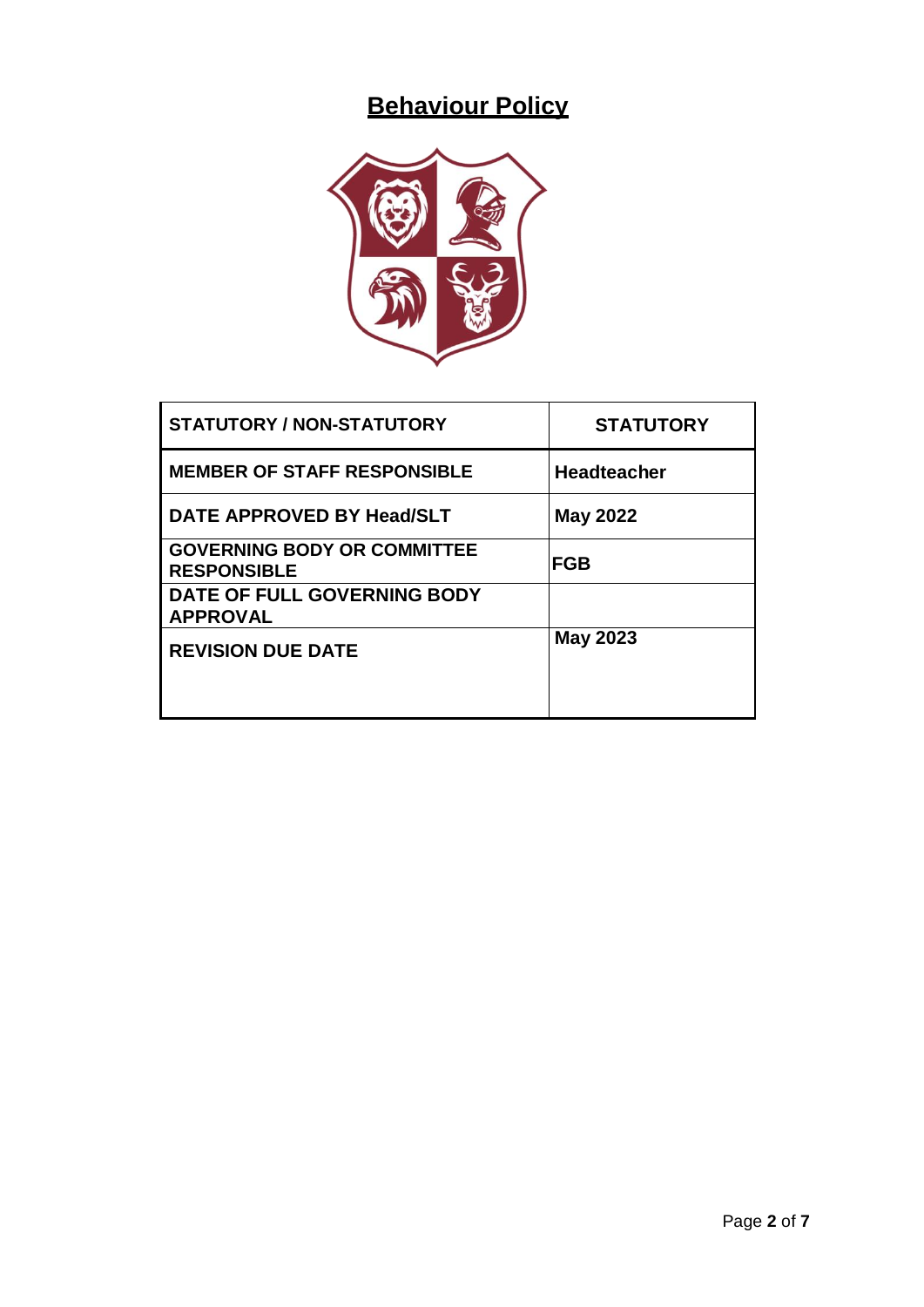# **Behaviour Policy**



| <b>STATUTORY / NON-STATUTORY</b>                         | <b>STATUTORY</b>   |
|----------------------------------------------------------|--------------------|
| <b>MEMBER OF STAFF RESPONSIBLE</b>                       | <b>Headteacher</b> |
| DATE APPROVED BY Head/SLT                                | <b>May 2022</b>    |
| <b>GOVERNING BODY OR COMMITTEE</b><br><b>RESPONSIBLE</b> | <b>FGB</b>         |
| DATE OF FULL GOVERNING BODY<br><b>APPROVAL</b>           |                    |
| <b>REVISION DUE DATE</b>                                 | <b>May 2023</b>    |
|                                                          |                    |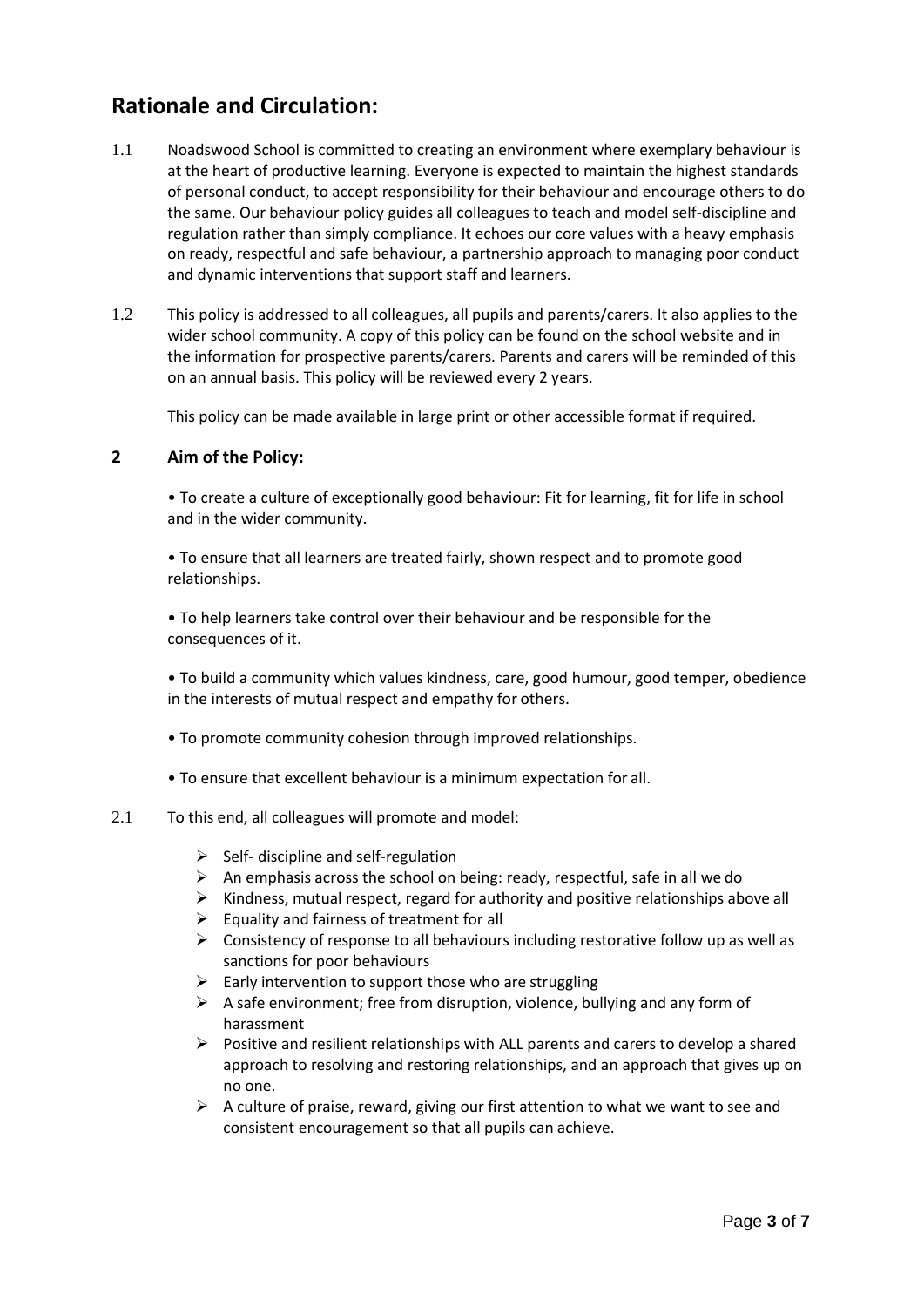## **Rationale and Circulation:**

- 1.1 Noadswood School is committed to creating an environment where exemplary behaviour is at the heart of productive learning. Everyone is expected to maintain the highest standards of personal conduct, to accept responsibility for their behaviour and encourage others to do the same. Our behaviour policy guides all colleagues to teach and model self-discipline and regulation rather than simply compliance. It echoes our core values with a heavy emphasis on ready, respectful and safe behaviour, a partnership approach to managing poor conduct and dynamic interventions that support staff and learners.
- 1.2 This policy is addressed to all colleagues, all pupils and parents/carers. It also applies to the wider school community. A copy of this policy can be found on the school website and in the information for prospective parents/carers. Parents and carers will be reminded of this on an annual basis. This policy will be reviewed every 2 years.

This policy can be made available in large print or other accessible format if required.

#### **2 Aim of the Policy:**

• To create a culture of exceptionally good behaviour: Fit for learning, fit for life in school and in the wider community.

• To ensure that all learners are treated fairly, shown respect and to promote good relationships.

• To help learners take control over their behaviour and be responsible for the consequences of it.

• To build a community which values kindness, care, good humour, good temper, obedience in the interests of mutual respect and empathy for others.

- To promote community cohesion through improved relationships.
- To ensure that excellent behaviour is a minimum expectation for all.
- 2.1 To this end, all colleagues will promote and model:
	- $\triangleright$  Self- discipline and self-regulation
	- $\triangleright$  An emphasis across the school on being: ready, respectful, safe in all we do
	- $\triangleright$  Kindness, mutual respect, regard for authority and positive relationships above all
	- $\triangleright$  Equality and fairness of treatment for all
	- ➢ Consistency of response to all behaviours including restorative follow up as well as sanctions for poor behaviours
	- $\triangleright$  Early intervention to support those who are struggling
	- $\triangleright$  A safe environment; free from disruption, violence, bullying and any form of harassment
	- $\triangleright$  Positive and resilient relationships with ALL parents and carers to develop a shared approach to resolving and restoring relationships, and an approach that gives up on no one.
	- $\triangleright$  A culture of praise, reward, giving our first attention to what we want to see and consistent encouragement so that all pupils can achieve.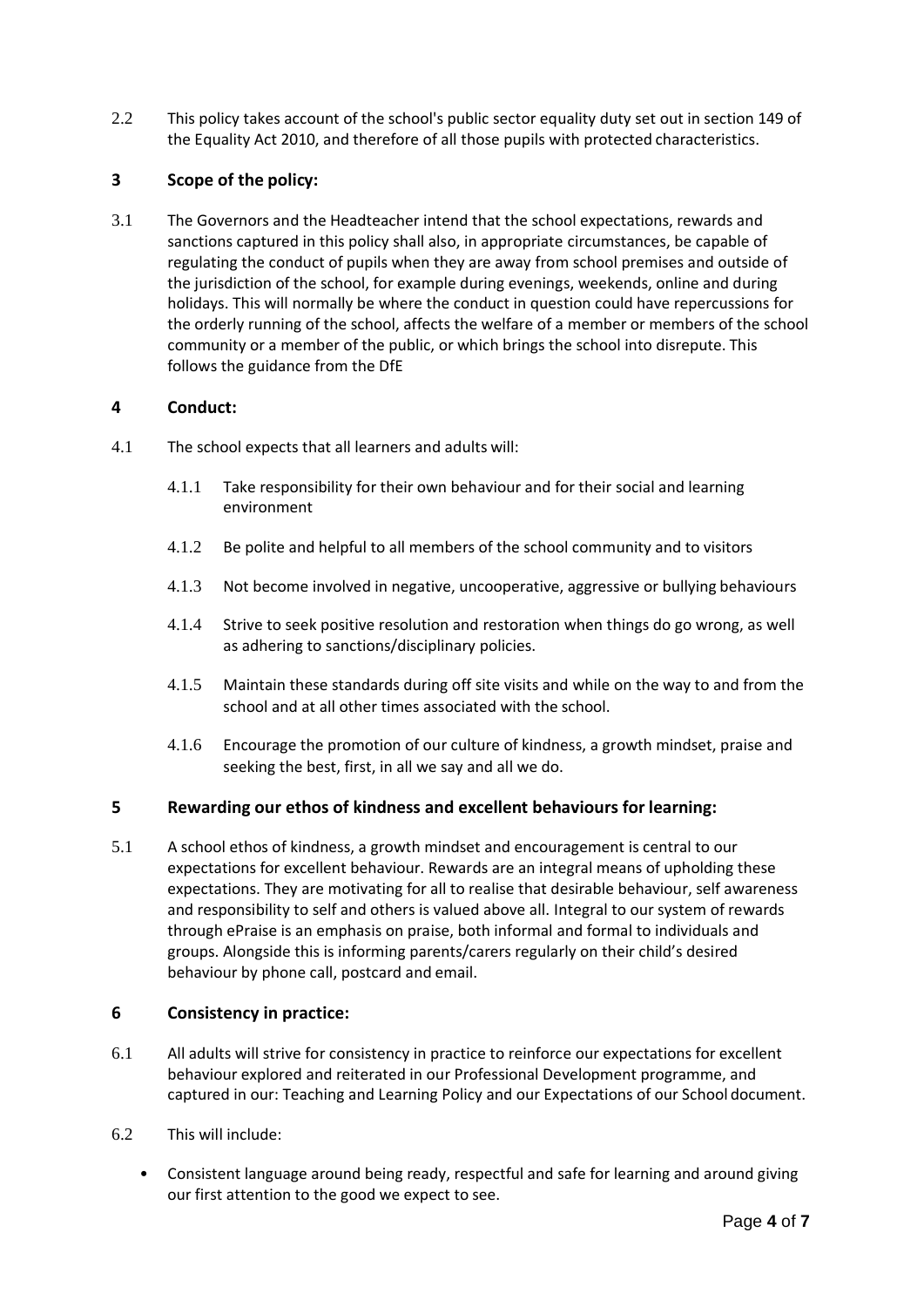2.2 This policy takes account of the school's public sector equality duty set out in section 149 of the Equality Act 2010, and therefore of all those pupils with protected characteristics.

### **3 Scope of the policy:**

<span id="page-2-0"></span>3.1 The Governors and the Headteacher intend that the school expectations, rewards and sanctions captured in this policy shall also, in appropriate circumstances, be capable of regulating the conduct of pupils when they are away from school premises and outside of the jurisdiction of the school, for example during evenings, weekends, online and during holidays. This will normally be where the conduct in question could have repercussions for the orderly running of the school, affects the welfare of a member or members of the school community or a member of the public, or which brings the school into disrepute. This follows the guidance from the DfE

#### **4 Conduct:**

- 4.1 The school expects that all learners and adults will:
	- 4.1.1 Take responsibility for their own behaviour and for their social and learning environment
	- 4.1.2 Be polite and helpful to all members of the school community and to visitors
	- 4.1.3 Not become involved in negative, uncooperative, aggressive or bullying behaviours
	- 4.1.4 Strive to seek positive resolution and restoration when things do go wrong, as well as adhering to sanctions/disciplinary policies.
	- 4.1.5 Maintain these standards during off site visits and while on the way to and from the school and at all other times associated with the school.
	- 4.1.6 Encourage the promotion of our culture of kindness, a growth mindset, praise and seeking the best, first, in all we say and all we do.

#### **5 Rewarding our ethos of kindness and excellent behaviours for learning:**

5.1 A school ethos of kindness, a growth mindset and encouragement is central to our expectations for excellent behaviour. Rewards are an integral means of upholding these expectations. They are motivating for all to realise that desirable behaviour, self awareness and responsibility to self and others is valued above all. Integral to our system of rewards through ePraise is an emphasis on praise, both informal and formal to individuals and groups. Alongside this is informing parents/carers regularly on their child's desired behaviour by phone call, postcard and email.

#### **6 Consistency in practice:**

- 6.1 All adults will strive for consistency in practice to reinforce our expectations for excellent behaviour explored and reiterated in our Professional Development programme, and captured in our: Teaching and Learning Policy and our Expectations of our School document.
- 6.2 This will include:
	- Consistent language around being ready, respectful and safe for learning and around giving our first attention to the good we expect to see.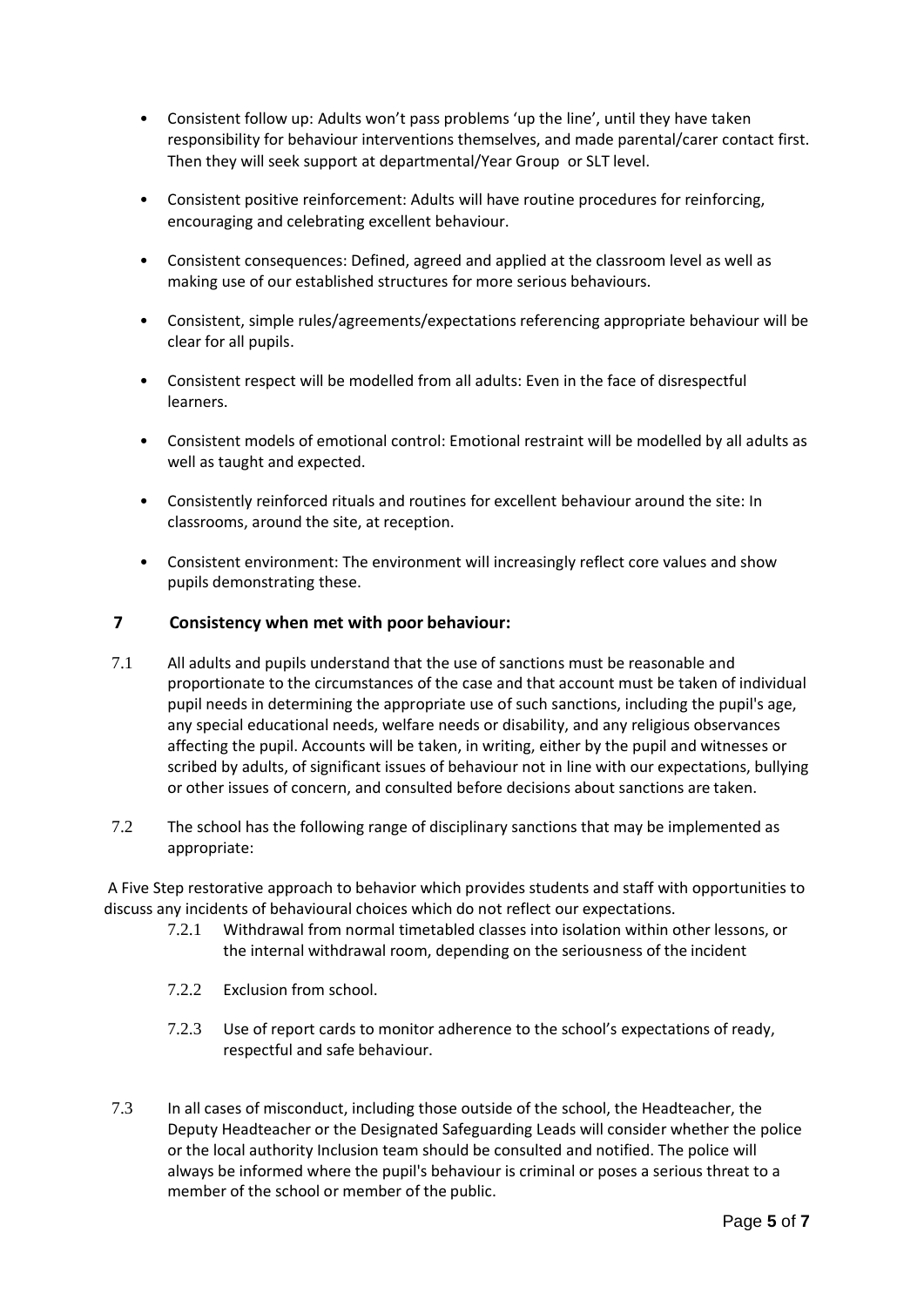- Consistent follow up: Adults won't pass problems 'up the line', until they have taken responsibility for behaviour interventions themselves, and made parental/carer contact first. Then they will seek support at departmental/Year Group or SLT level.
- Consistent positive reinforcement: Adults will have routine procedures for reinforcing, encouraging and celebrating excellent behaviour.
- Consistent consequences: Defined, agreed and applied at the classroom level as well as making use of our established structures for more serious behaviours.
- Consistent, simple rules/agreements/expectations referencing appropriate behaviour will be clear for all pupils.
- Consistent respect will be modelled from all adults: Even in the face of disrespectful learners.
- Consistent models of emotional control: Emotional restraint will be modelled by all adults as well as taught and expected.
- Consistently reinforced rituals and routines for excellent behaviour around the site: In classrooms, around the site, at reception.
- Consistent environment: The environment will increasingly reflect core values and show pupils demonstrating these.

#### **7 Consistency when met with poor behaviour:**

- 7.1 All adults and pupils understand that the use of sanctions must be reasonable and proportionate to the circumstances of the case and that account must be taken of individual pupil needs in determining the appropriate use of such sanctions, including the pupil's age, any special educational needs, welfare needs or disability, and any religious observances affecting the pupil. Accounts will be taken, in writing, either by the pupil and witnesses or scribed by adults, of significant issues of behaviour not in line with our expectations, bullying or other issues of concern, and consulted before decisions about sanctions are taken.
- 7.2 The school has the following range of disciplinary sanctions that may be implemented as appropriate:

A Five Step restorative approach to behavior which provides students and staff with opportunities to discuss any incidents of behavioural choices which do not reflect our expectations.

- 7.2.1 Withdrawal from normal timetabled classes into isolation within other lessons, or the internal withdrawal room, depending on the seriousness of the incident
- 7.2.2 Exclusion from school.
- 7.2.3 Use of report cards to monitor adherence to the school's expectations of ready, respectful and safe behaviour.
- 7.3 In all cases of misconduct, including those outside of the school, the Headteacher, the Deputy Headteacher or the Designated Safeguarding Leads will consider whether the police or the local authority Inclusion team should be consulted and notified. The police will always be informed where the pupil's behaviour is criminal or poses a serious threat to a member of the school or member of the public.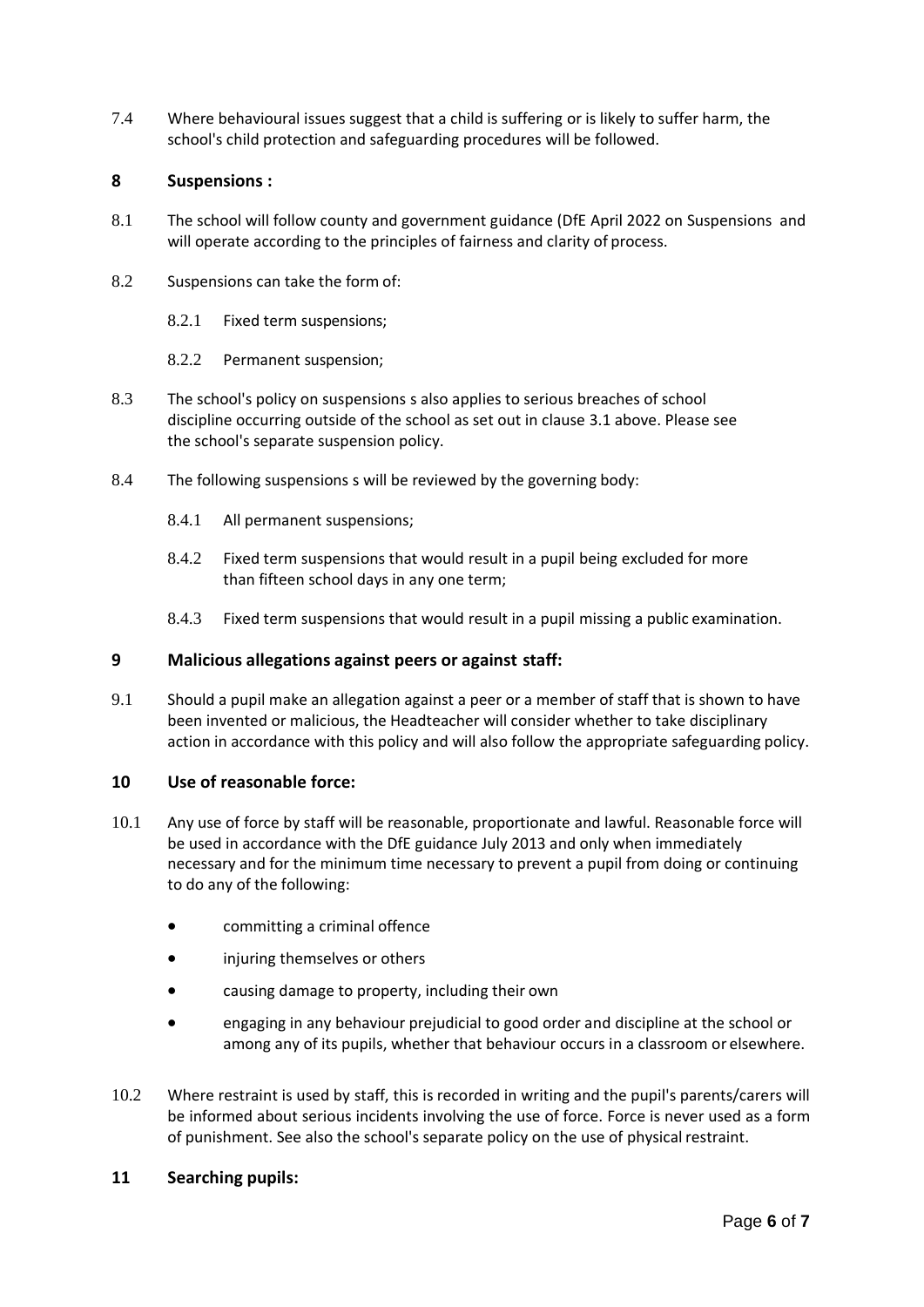7.4 Where behavioural issues suggest that a child is suffering or is likely to suffer harm, the school's child protection and safeguarding procedures will be followed.

#### **8 Suspensions :**

- 8.1 The school will follow county and government guidance (DfE April 2022 on Suspensions and will operate according to the principles of fairness and clarity of process.
- 8.2 Suspensions can take the form of:
	- 8.2.1 Fixed term suspensions;
	- 8.2.2 Permanent suspension;
- 8.3 The school's policy on suspensions s also applies to serious breaches of school discipline occurring outside of the school as set out in clause [3.1 a](#page-2-0)bove. Please see the school's separate suspension policy.
- 8.4 The following suspensions s will be reviewed by the governing body:
	- 8.4.1 All permanent suspensions;
	- 8.4.2 Fixed term suspensions that would result in a pupil being excluded for more than fifteen school days in any one term;
	- 8.4.3 Fixed term suspensions that would result in a pupil missing a public examination.

#### **9 Malicious allegations against peers or against staff:**

9.1 Should a pupil make an allegation against a peer or a member of staff that is shown to have been invented or malicious, the Headteacher will consider whether to take disciplinary action in accordance with this policy and will also follow the appropriate safeguarding policy.

#### **10 Use of reasonable force:**

- 10.1 Any use of force by staff will be reasonable, proportionate and lawful. Reasonable force will be used in accordance with the DfE guidance July 2013 and only when immediately necessary and for the minimum time necessary to prevent a pupil from doing or continuing to do any of the following:
	- committing a criminal offence
	- injuring themselves or others
	- causing damage to property, including their own
	- engaging in any behaviour prejudicial to good order and discipline at the school or among any of its pupils, whether that behaviour occurs in a classroom or elsewhere.
- 10.2 Where restraint is used by staff, this is recorded in writing and the pupil's parents/carers will be informed about serious incidents involving the use of force. Force is never used as a form of punishment. See also the school's separate policy on the use of physical restraint.

#### **11 Searching pupils:**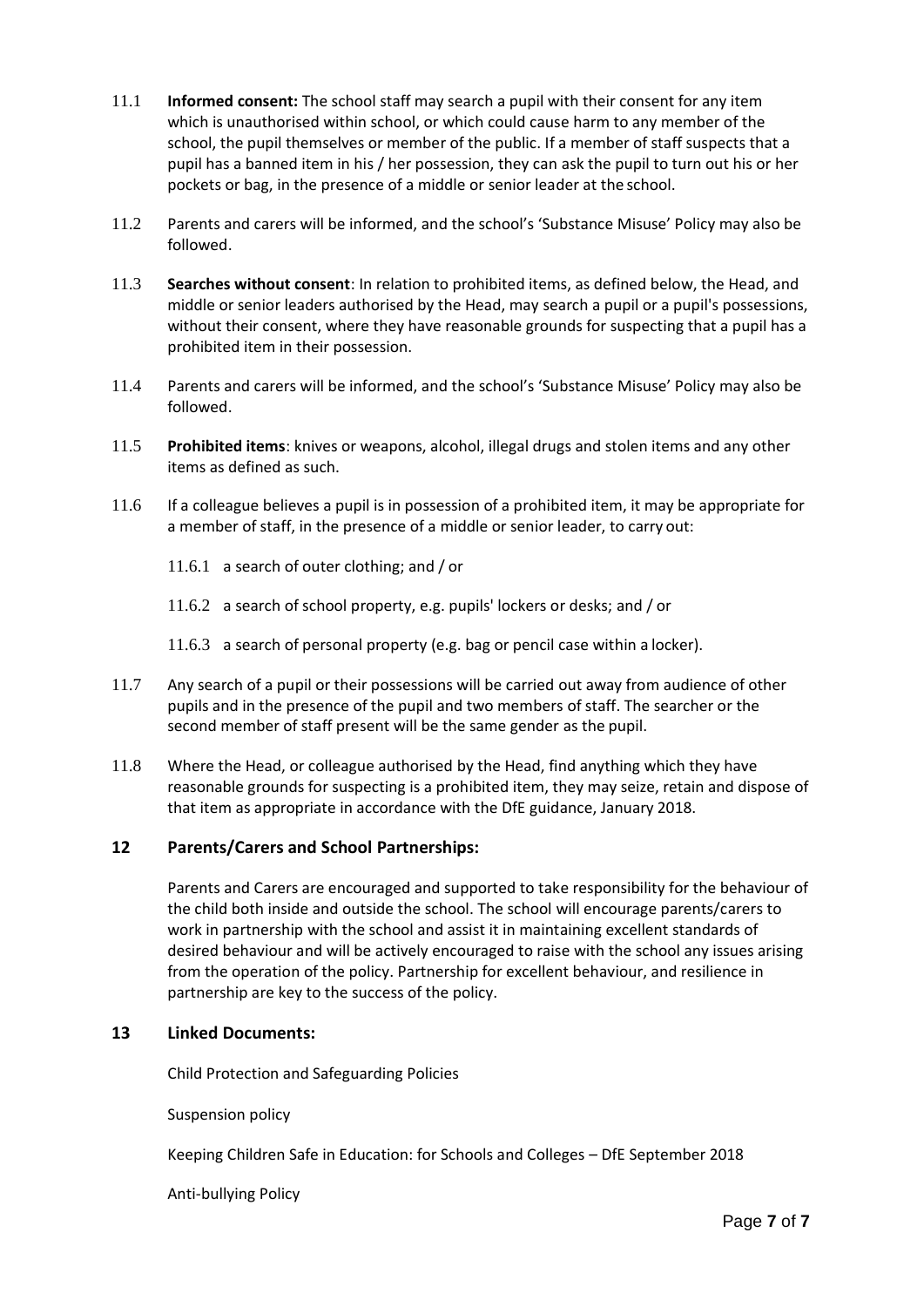- 11.1 **Informed consent:** The school staff may search a pupil with their consent for any item which is unauthorised within school, or which could cause harm to any member of the school, the pupil themselves or member of the public. If a member of staff suspects that a pupil has a banned item in his / her possession, they can ask the pupil to turn out his or her pockets or bag, in the presence of a middle or senior leader at the school.
- 11.2 Parents and carers will be informed, and the school's 'Substance Misuse' Policy may also be followed.
- 11.3 **Searches without consent**: In relation to prohibited items, as defined below, the Head, and middle or senior leaders authorised by the Head, may search a pupil or a pupil's possessions, without their consent, where they have reasonable grounds for suspecting that a pupil has a prohibited item in their possession.
- 11.4 Parents and carers will be informed, and the school's 'Substance Misuse' Policy may also be followed.
- 11.5 **Prohibited items**: knives or weapons, alcohol, illegal drugs and stolen items and any other items as defined as such.
- 11.6 If a colleague believes a pupil is in possession of a prohibited item, it may be appropriate for a member of staff, in the presence of a middle or senior leader, to carry out:
	- 11.6.1 a search of outer clothing; and / or
	- 11.6.2 a search of school property, e.g. pupils' lockers or desks; and / or
	- 11.6.3 a search of personal property (e.g. bag or pencil case within a locker).
- 11.7 Any search of a pupil or their possessions will be carried out away from audience of other pupils and in the presence of the pupil and two members of staff. The searcher or the second member of staff present will be the same gender as the pupil.
- 11.8 Where the Head, or colleague authorised by the Head, find anything which they have reasonable grounds for suspecting is a prohibited item, they may seize, retain and dispose of that item as appropriate in accordance with the DfE guidance, January 2018.

#### **12 Parents/Carers and School Partnerships:**

Parents and Carers are encouraged and supported to take responsibility for the behaviour of the child both inside and outside the school. The school will encourage parents/carers to work in partnership with the school and assist it in maintaining excellent standards of desired behaviour and will be actively encouraged to raise with the school any issues arising from the operation of the policy. Partnership for excellent behaviour, and resilience in partnership are key to the success of the policy.

#### **13 Linked Documents:**

Child Protection and Safeguarding Policies

Suspension policy

Keeping Children Safe in Education: for Schools and Colleges – DfE September 2018

Anti-bullying Policy